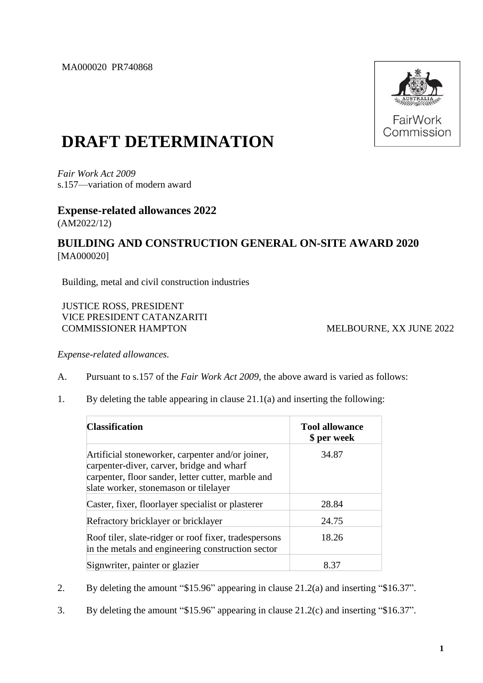MA000020 PR740868



## **DRAFT DETERMINATION**

*Fair Work Act 2009* s.157—variation of modern award

## **Expense-related allowances 2022**

(AM2022/12)

## **BUILDING AND CONSTRUCTION GENERAL ON-SITE AWARD 2020** [MA000020]

Building, metal and civil construction industries

JUSTICE ROSS, PRESIDENT VICE PRESIDENT CATANZARITI COMMISSIONER HAMPTON MELBOURNE, XX JUNE 2022

*Expense-related allowances.*

- A. Pursuant to s.157 of the *Fair Work Act 2009*, the above award is varied as follows:
- 1. By deleting the table appearing in clause 21.1(a) and inserting the following:

| <b>Classification</b>                                                                                                                                                                        | <b>Tool allowance</b><br>\$ per week |  |
|----------------------------------------------------------------------------------------------------------------------------------------------------------------------------------------------|--------------------------------------|--|
| Artificial stoneworker, carpenter and/or joiner,<br>carpenter-diver, carver, bridge and wharf<br>carpenter, floor sander, letter cutter, marble and<br>slate worker, stonemason or tilelayer | 34.87                                |  |
| Caster, fixer, floorlayer specialist or plasterer                                                                                                                                            | 28.84                                |  |
| Refractory bricklayer or bricklayer                                                                                                                                                          | 24.75                                |  |
| Roof tiler, slate-ridger or roof fixer, tradespersons<br>in the metals and engineering construction sector                                                                                   | 18.26                                |  |
| Signwriter, painter or glazier                                                                                                                                                               | 8.37                                 |  |

- 2. By deleting the amount "\$15.96" appearing in clause 21.2(a) and inserting "\$16.37".
- 3. By deleting the amount "\$15.96" appearing in clause 21.2(c) and inserting "\$16.37".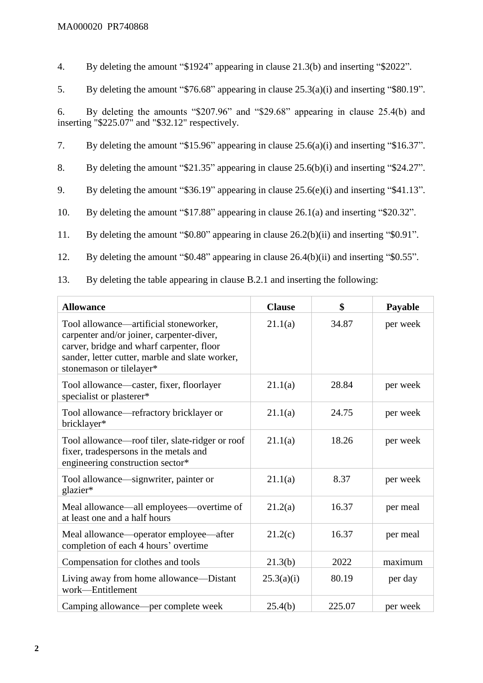4. By deleting the amount "\$1924" appearing in clause 21.3(b) and inserting "\$2022".

5. By deleting the amount "\$76.68" appearing in clause 25.3(a)(i) and inserting "\$80.19".

6. By deleting the amounts "\$207.96" and "\$29.68" appearing in clause 25.4(b) and inserting "\$225.07" and "\$32.12" respectively.

7. By deleting the amount "\$15.96" appearing in clause 25.6(a)(i) and inserting "\$16.37".

8. By deleting the amount "\$21.35" appearing in clause 25.6(b)(i) and inserting "\$24.27".

9. By deleting the amount "\$36.19" appearing in clause 25.6(e)(i) and inserting "\$41.13".

10. By deleting the amount "\$17.88" appearing in clause 26.1(a) and inserting "\$20.32".

11. By deleting the amount "\$0.80" appearing in clause 26.2(b)(ii) and inserting "\$0.91".

12. By deleting the amount "\$0.48" appearing in clause 26.4(b)(ii) and inserting "\$0.55".

13. By deleting the table appearing in clause B.2.1 and inserting the following:

| <b>Allowance</b>                                                                                                                                                                                                | <b>Clause</b> | \$     | Payable  |
|-----------------------------------------------------------------------------------------------------------------------------------------------------------------------------------------------------------------|---------------|--------|----------|
| Tool allowance—artificial stoneworker,<br>carpenter and/or joiner, carpenter-diver,<br>carver, bridge and wharf carpenter, floor<br>sander, letter cutter, marble and slate worker,<br>stonemason or tilelayer* | 21.1(a)       | 34.87  | per week |
| Tool allowance—caster, fixer, floorlayer<br>specialist or plasterer*                                                                                                                                            | 21.1(a)       | 28.84  | per week |
| Tool allowance—refractory bricklayer or<br>bricklayer*                                                                                                                                                          | 21.1(a)       | 24.75  | per week |
| Tool allowance—roof tiler, slate-ridger or roof<br>fixer, tradespersons in the metals and<br>engineering construction sector*                                                                                   | 21.1(a)       | 18.26  | per week |
| Tool allowance—signwriter, painter or<br>glazier*                                                                                                                                                               | 21.1(a)       | 8.37   | per week |
| Meal allowance—all employees—overtime of<br>at least one and a half hours                                                                                                                                       | 21.2(a)       | 16.37  | per meal |
| Meal allowance—operator employee—after<br>completion of each 4 hours' overtime                                                                                                                                  | 21.2(c)       | 16.37  | per meal |
| Compensation for clothes and tools                                                                                                                                                                              | 21.3(b)       | 2022   | maximum  |
| Living away from home allowance—Distant<br>work-Entitlement                                                                                                                                                     | 25.3(a)(i)    | 80.19  | per day  |
| Camping allowance—per complete week                                                                                                                                                                             | 25.4(b)       | 225.07 | per week |